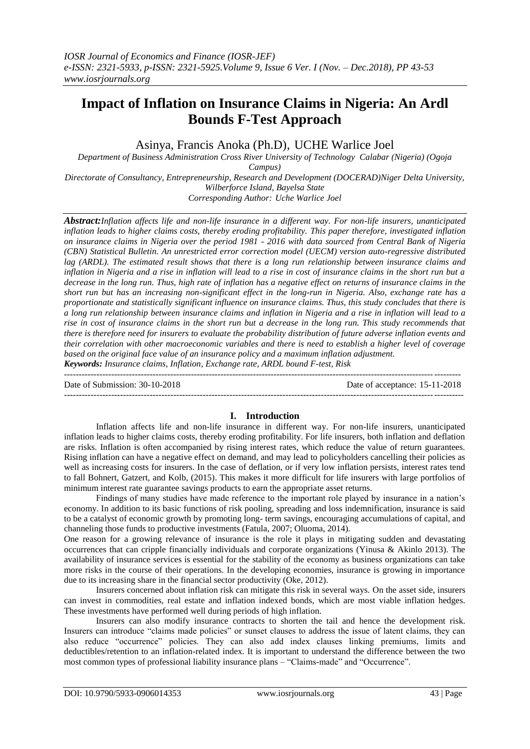## **Impact of Inflation on Insurance Claims in Nigeria: An Ardl Bounds F-Test Approach**

Asinya, Francis Anoka (Ph.D), UCHE Warlice Joel

*Department of Business Administration Cross River University of Technology Calabar (Nigeria) (Ogoja Campus) Directorate of Consultancy, Entrepreneurship, Research and Development (DOCERAD)Niger Delta University, Wilberforce Island, Bayelsa State*

*Corresponding Author: Uche Warlice Joel*

*Abstract:Inflation affects life and non-life insurance in a different way. For non-life insurers, unanticipated inflation leads to higher claims costs, thereby eroding profitability. This paper therefore, investigated inflation on insurance claims in Nigeria over the period 1981 - 2016 with data sourced from Central Bank of Nigeria (CBN) Statistical Bulletin. An unrestricted error correction model (UECM) version auto-regressive distributed lag (ARDL). The estimated result shows that there is a long run relationship between insurance claims and inflation in Nigeria and a rise in inflation will lead to a rise in cost of insurance claims in the short run but a decrease in the long run. Thus, high rate of inflation has a negative effect on returns of insurance claims in the short run but has an increasing non-significant effect in the long-run in Nigeria. Also, exchange rate has a proportionate and statistically significant influence on insurance claims. Thus, this study concludes that there is a long run relationship between insurance claims and inflation in Nigeria and a rise in inflation will lead to a rise in cost of insurance claims in the short run but a decrease in the long run. This study recommends that there is therefore need for insurers to evaluate the probability distribution of future adverse inflation events and their correlation with other macroeconomic variables and there is need to establish a higher level of coverage based on the original face value of an insurance policy and a maximum inflation adjustment. Keywords: Insurance claims, Inflation, Exchange rate, ARDL bound F-test, Risk* 

-------------------------------------------------------------------------------------------------------------------------------------- Date of Submission: 30-10-2018 Date of acceptance: 15-11-2018 ---------------------------------------------------------------------------------------------------------------------------------------

### **I. Introduction**

Inflation affects life and non-life insurance in different way. For non-life insurers, unanticipated inflation leads to higher claims costs, thereby eroding profitability. For life insurers, both inflation and deflation are risks. Inflation is often accompanied by rising interest rates, which reduce the value of return guarantees. Rising inflation can have a negative effect on demand, and may lead to policyholders cancelling their policies as well as increasing costs for insurers. In the case of deflation, or if very low inflation persists, interest rates tend to fall Bohnert, Gatzert, and Kolb, (2015). This makes it more difficult for life insurers with large portfolios of minimum interest rate guarantee savings products to earn the appropriate asset returns.

Findings of many studies have made reference to the important role played by insurance in a nation"s economy. In addition to its basic functions of risk pooling, spreading and loss indemnification, insurance is said to be a catalyst of economic growth by promoting long- term savings, encouraging accumulations of capital, and channeling those funds to productive investments (Fatula, 2007; Oluoma, 2014).

One reason for a growing relevance of insurance is the role it plays in mitigating sudden and devastating occurrences that can cripple financially individuals and corporate organizations (Yinusa & Akinlo 2013). The availability of insurance services is essential for the stability of the economy as business organizations can take more risks in the course of their operations. In the developing economies, insurance is growing in importance due to its increasing share in the financial sector productivity (Oke, 2012).

Insurers concerned about inflation risk can mitigate this risk in several ways. On the asset side, insurers can invest in commodities, real estate and inflation indexed bonds, which are most viable inflation hedges. These investments have performed well during periods of high inflation.

Insurers can also modify insurance contracts to shorten the tail and hence the development risk. Insurers can introduce "claims made policies" or sunset clauses to address the issue of latent claims, they can also reduce "occurrence" policies. They can also add index clauses linking premiums, limits and deductibles/retention to an inflation-related index. It is important to understand the difference between the two most common types of professional liability insurance plans – "Claims-made" and "Occurrence".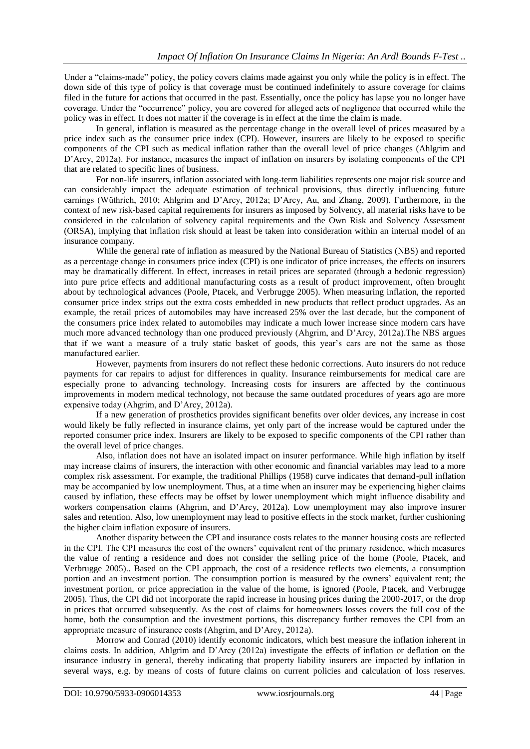Under a "claims-made" policy, the policy covers claims made against you only while the policy is in effect. The down side of this type of policy is that coverage must be continued indefinitely to assure coverage for claims filed in the future for actions that occurred in the past. Essentially, once the policy has lapse you no longer have coverage. Under the "occurrence" policy, you are covered for alleged acts of negligence that occurred while the policy was in effect. It does not matter if the coverage is in effect at the time the claim is made.

In general, inflation is measured as the percentage change in the overall level of prices measured by a price index such as the consumer price index (CPI). However, insurers are likely to be exposed to specific components of the CPI such as medical inflation rather than the overall level of price changes (Ahlgrim and D"Arcy, 2012a). For instance, measures the impact of inflation on insurers by isolating components of the CPI that are related to specific lines of business.

For non-life insurers, inflation associated with long-term liabilities represents one major risk source and can considerably impact the adequate estimation of technical provisions, thus directly influencing future earnings (Wüthrich, 2010; Ahlgrim and D"Arcy, 2012a; D"Arcy, Au, and Zhang, 2009). Furthermore, in the context of new risk-based capital requirements for insurers as imposed by Solvency, all material risks have to be considered in the calculation of solvency capital requirements and the Own Risk and Solvency Assessment (ORSA), implying that inflation risk should at least be taken into consideration within an internal model of an insurance company.

While the general rate of inflation as measured by the National Bureau of Statistics (NBS) and reported as a percentage change in consumers price index (CPI) is one indicator of price increases, the effects on insurers may be dramatically different. In effect, increases in retail prices are separated (through a hedonic regression) into pure price effects and additional manufacturing costs as a result of product improvement, often brought about by technological advances (Poole, Ptacek, and Verbrugge 2005). When measuring inflation, the reported consumer price index strips out the extra costs embedded in new products that reflect product upgrades. As an example, the retail prices of automobiles may have increased 25% over the last decade, but the component of the consumers price index related to automobiles may indicate a much lower increase since modern cars have much more advanced technology than one produced previously (Ahgrim, and D"Arcy, 2012a).The NBS argues that if we want a measure of a truly static basket of goods, this year"s cars are not the same as those manufactured earlier.

However, payments from insurers do not reflect these hedonic corrections. Auto insurers do not reduce payments for car repairs to adjust for differences in quality. Insurance reimbursements for medical care are especially prone to advancing technology. Increasing costs for insurers are affected by the continuous improvements in modern medical technology, not because the same outdated procedures of years ago are more expensive today (Ahgrim, and D"Arcy, 2012a).

If a new generation of prosthetics provides significant benefits over older devices, any increase in cost would likely be fully reflected in insurance claims, yet only part of the increase would be captured under the reported consumer price index. Insurers are likely to be exposed to specific components of the CPI rather than the overall level of price changes.

Also, inflation does not have an isolated impact on insurer performance. While high inflation by itself may increase claims of insurers, the interaction with other economic and financial variables may lead to a more complex risk assessment. For example, the traditional Phillips (1958) curve indicates that demand-pull inflation may be accompanied by low unemployment. Thus, at a time when an insurer may be experiencing higher claims caused by inflation, these effects may be offset by lower unemployment which might influence disability and workers compensation claims (Ahgrim, and D"Arcy, 2012a). Low unemployment may also improve insurer sales and retention. Also, low unemployment may lead to positive effects in the stock market, further cushioning the higher claim inflation exposure of insurers.

Another disparity between the CPI and insurance costs relates to the manner housing costs are reflected in the CPI. The CPI measures the cost of the owners" equivalent rent of the primary residence, which measures the value of renting a residence and does not consider the selling price of the home (Poole, Ptacek, and Verbrugge 2005).. Based on the CPI approach, the cost of a residence reflects two elements, a consumption portion and an investment portion. The consumption portion is measured by the owners" equivalent rent; the investment portion, or price appreciation in the value of the home, is ignored (Poole, Ptacek, and Verbrugge 2005). Thus, the CPI did not incorporate the rapid increase in housing prices during the 2000-2017, or the drop in prices that occurred subsequently. As the cost of claims for homeowners losses covers the full cost of the home, both the consumption and the investment portions, this discrepancy further removes the CPI from an appropriate measure of insurance costs (Ahgrim, and D"Arcy, 2012a).

Morrow and Conrad (2010) identify economic indicators, which best measure the inflation inherent in claims costs. In addition, Ahlgrim and D"Arcy (2012a) investigate the effects of inflation or deflation on the insurance industry in general, thereby indicating that property liability insurers are impacted by inflation in several ways, e.g. by means of costs of future claims on current policies and calculation of loss reserves.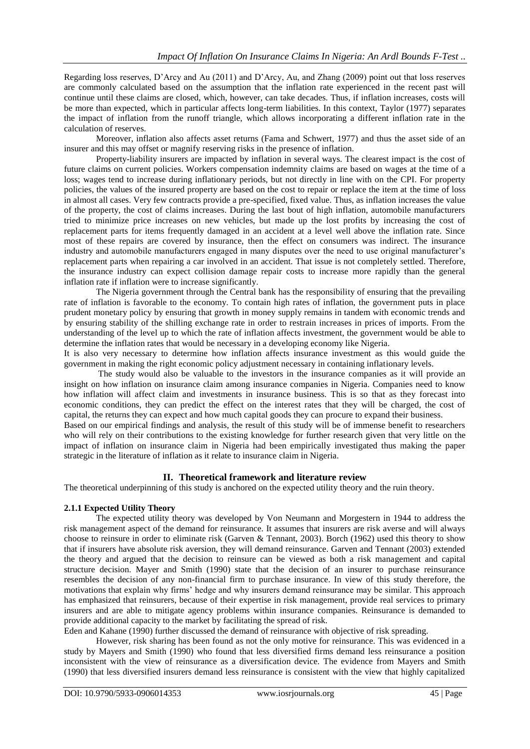Regarding loss reserves, D"Arcy and Au (2011) and D"Arcy, Au, and Zhang (2009) point out that loss reserves are commonly calculated based on the assumption that the inflation rate experienced in the recent past will continue until these claims are closed, which, however, can take decades. Thus, if inflation increases, costs will be more than expected, which in particular affects long-term liabilities. In this context, Taylor (1977) separates the impact of inflation from the runoff triangle, which allows incorporating a different inflation rate in the calculation of reserves.

Moreover, inflation also affects asset returns (Fama and Schwert, 1977) and thus the asset side of an insurer and this may offset or magnify reserving risks in the presence of inflation.

Property-liability insurers are impacted by inflation in several ways. The clearest impact is the cost of future claims on current policies. Workers compensation indemnity claims are based on wages at the time of a loss; wages tend to increase during inflationary periods, but not directly in line with on the CPI. For property policies, the values of the insured property are based on the cost to repair or replace the item at the time of loss in almost all cases. Very few contracts provide a pre-specified, fixed value. Thus, as inflation increases the value of the property, the cost of claims increases. During the last bout of high inflation, automobile manufacturers tried to minimize price increases on new vehicles, but made up the lost profits by increasing the cost of replacement parts for items frequently damaged in an accident at a level well above the inflation rate. Since most of these repairs are covered by insurance, then the effect on consumers was indirect. The insurance industry and automobile manufacturers engaged in many disputes over the need to use original manufacturer"s replacement parts when repairing a car involved in an accident. That issue is not completely settled. Therefore, the insurance industry can expect collision damage repair costs to increase more rapidly than the general inflation rate if inflation were to increase significantly.

The Nigeria government through the Central bank has the responsibility of ensuring that the prevailing rate of inflation is favorable to the economy. To contain high rates of inflation, the government puts in place prudent monetary policy by ensuring that growth in money supply remains in tandem with economic trends and by ensuring stability of the shilling exchange rate in order to restrain increases in prices of imports. From the understanding of the level up to which the rate of inflation affects investment, the government would be able to determine the inflation rates that would be necessary in a developing economy like Nigeria.

It is also very necessary to determine how inflation affects insurance investment as this would guide the government in making the right economic policy adjustment necessary in containing inflationary levels.

The study would also be valuable to the investors in the insurance companies as it will provide an insight on how inflation on insurance claim among insurance companies in Nigeria. Companies need to know how inflation will affect claim and investments in insurance business. This is so that as they forecast into economic conditions, they can predict the effect on the interest rates that they will be charged, the cost of capital, the returns they can expect and how much capital goods they can procure to expand their business.

Based on our empirical findings and analysis, the result of this study will be of immense benefit to researchers who will rely on their contributions to the existing knowledge for further research given that very little on the impact of inflation on insurance claim in Nigeria had been empirically investigated thus making the paper strategic in the literature of inflation as it relate to insurance claim in Nigeria.

### **II. Theoretical framework and literature review**

The theoretical underpinning of this study is anchored on the expected utility theory and the ruin theory.

### **2.1.1 Expected Utility Theory**

The expected utility theory was developed by Von Neumann and Morgestern in 1944 to address the risk management aspect of the demand for reinsurance. It assumes that insurers are risk averse and will always choose to reinsure in order to eliminate risk (Garven & Tennant, 2003). Borch (1962) used this theory to show that if insurers have absolute risk aversion, they will demand reinsurance. Garven and Tennant (2003) extended the theory and argued that the decision to reinsure can be viewed as both a risk management and capital structure decision. Mayer and Smith (1990) state that the decision of an insurer to purchase reinsurance resembles the decision of any non-financial firm to purchase insurance. In view of this study therefore, the motivations that explain why firms' hedge and why insurers demand reinsurance may be similar. This approach has emphasized that reinsurers, because of their expertise in risk management, provide real services to primary insurers and are able to mitigate agency problems within insurance companies. Reinsurance is demanded to provide additional capacity to the market by facilitating the spread of risk.

Eden and Kahane (1990) further discussed the demand of reinsurance with objective of risk spreading.

However, risk sharing has been found as not the only motive for reinsurance. This was evidenced in a study by Mayers and Smith (1990) who found that less diversified firms demand less reinsurance a position inconsistent with the view of reinsurance as a diversification device. The evidence from Mayers and Smith (1990) that less diversified insurers demand less reinsurance is consistent with the view that highly capitalized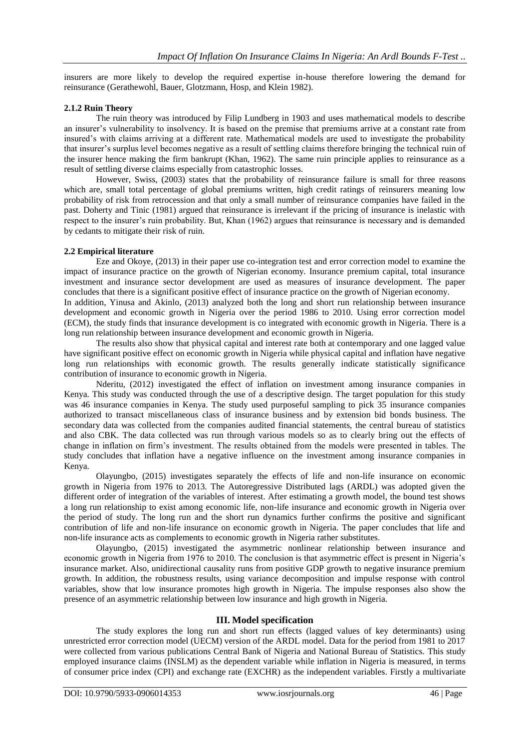insurers are more likely to develop the required expertise in-house therefore lowering the demand for reinsurance (Gerathewohl, Bauer, Glotzmann, Hosp, and Klein 1982).

#### **2.1.2 Ruin Theory**

The ruin theory was introduced by Filip Lundberg in 1903 and uses mathematical models to describe an insurer"s vulnerability to insolvency. It is based on the premise that premiums arrive at a constant rate from insured"s with claims arriving at a different rate. Mathematical models are used to investigate the probability that insurer"s surplus level becomes negative as a result of settling claims therefore bringing the technical ruin of the insurer hence making the firm bankrupt (Khan, 1962). The same ruin principle applies to reinsurance as a result of settling diverse claims especially from catastrophic losses.

However, Swiss, (2003) states that the probability of reinsurance failure is small for three reasons which are, small total percentage of global premiums written, high credit ratings of reinsurers meaning low probability of risk from retrocession and that only a small number of reinsurance companies have failed in the past. Doherty and Tinic (1981) argued that reinsurance is irrelevant if the pricing of insurance is inelastic with respect to the insurer"s ruin probability. But, Khan (1962) argues that reinsurance is necessary and is demanded by cedants to mitigate their risk of ruin.

#### **2.2 Empirical literature**

Eze and Okoye, (2013) in their paper use co-integration test and error correction model to examine the impact of insurance practice on the growth of Nigerian economy. Insurance premium capital, total insurance investment and insurance sector development are used as measures of insurance development. The paper concludes that there is a significant positive effect of insurance practice on the growth of Nigerian economy. In addition, Yinusa and Akinlo, (2013) analyzed both the long and short run relationship between insurance development and economic growth in Nigeria over the period 1986 to 2010. Using error correction model (ECM), the study finds that insurance development is co integrated with economic growth in Nigeria. There is a long run relationship between insurance development and economic growth in Nigeria.

The results also show that physical capital and interest rate both at contemporary and one lagged value have significant positive effect on economic growth in Nigeria while physical capital and inflation have negative long run relationships with economic growth. The results generally indicate statistically significance contribution of insurance to economic growth in Nigeria.

Nderitu, (2012) investigated the effect of inflation on investment among insurance companies in Kenya. This study was conducted through the use of a descriptive design. The target population for this study was 46 insurance companies in Kenya. The study used purposeful sampling to pick 35 insurance companies authorized to transact miscellaneous class of insurance business and by extension bid bonds business. The secondary data was collected from the companies audited financial statements, the central bureau of statistics and also CBK. The data collected was run through various models so as to clearly bring out the effects of change in inflation on firm"s investment. The results obtained from the models were presented in tables. The study concludes that inflation have a negative influence on the investment among insurance companies in Kenya.

Olayungbo, (2015) investigates separately the effects of life and non-life insurance on economic growth in Nigeria from 1976 to 2013. The Autoregressive Distributed lags (ARDL) was adopted given the different order of integration of the variables of interest. After estimating a growth model, the bound test shows a long run relationship to exist among economic life, non-life insurance and economic growth in Nigeria over the period of study. The long run and the short run dynamics further confirms the positive and significant contribution of life and non-life insurance on economic growth in Nigeria. The paper concludes that life and non-life insurance acts as complements to economic growth in Nigeria rather substitutes.

Olayungbo, (2015) investigated the asymmetric nonlinear relationship between insurance and economic growth in Nigeria from 1976 to 2010. The conclusion is that asymmetric effect is present in Nigeria"s insurance market. Also, unidirectional causality runs from positive GDP growth to negative insurance premium growth. In addition, the robustness results, using variance decomposition and impulse response with control variables, show that low insurance promotes high growth in Nigeria. The impulse responses also show the presence of an asymmetric relationship between low insurance and high growth in Nigeria.

#### **III. Model specification**

The study explores the long run and short run effects (lagged values of key determinants) using unrestricted error correction model (UECM) version of the ARDL model. Data for the period from 1981 to 2017 were collected from various publications Central Bank of Nigeria and National Bureau of Statistics. This study employed insurance claims (INSLM) as the dependent variable while inflation in Nigeria is measured, in terms of consumer price index (CPI) and exchange rate (EXCHR) as the independent variables. Firstly a multivariate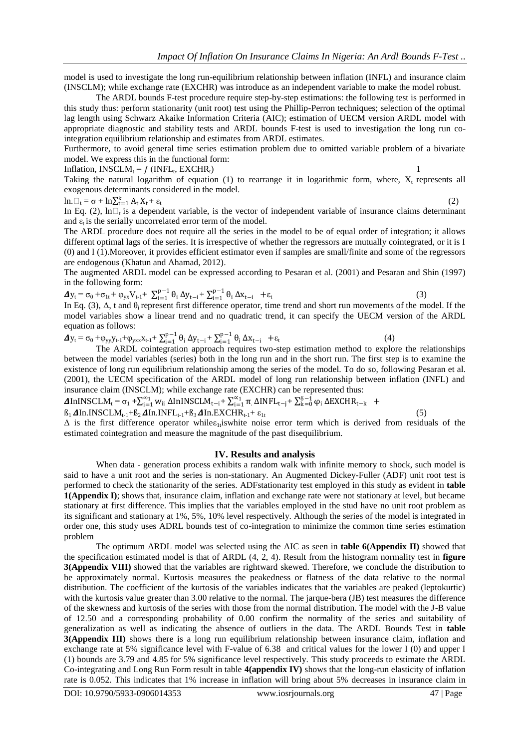model is used to investigate the long run-equilibrium relationship between inflation (INFL) and insurance claim (INSCLM); while exchange rate (EXCHR) was introduce as an independent variable to make the model robust.

The ARDL bounds F-test procedure require step-by-step estimations: the following test is performed in this study thus: perform stationarity (unit root) test using the Phillip-Perron techniques; selection of the optimal lag length using Schwarz Akaike Information Criteria (AIC); estimation of UECM version ARDL model with appropriate diagnostic and stability tests and ARDL bounds F-test is used to investigation the long run cointegration equilibrium relationship and estimates from ARDL estimates.

Furthermore, to avoid general time series estimation problem due to omitted variable problem of a bivariate model. We express this in the functional form:

Inflation,  $INSCLM_t = f (INFL_t, EXCHR_t)$  1

Taking the natural logarithm of equation (1) to rearrange it in logarithmic form, where,  $X_t$  represents all exogenous determinants considered in the model.

$$
\ln \Box_t = \sigma + \ln \sum_{t=1}^k A_t X_t + \varepsilon_t \tag{2}
$$

In Eq. (2),  $\ln\Box_t$  is a dependent variable, is the vector of independent variable of insurance claims determinant and  $\varepsilon_t$  is the serially uncorrelated error term of the model.

The ARDL procedure does not require all the series in the model to be of equal order of integration; it allows different optimal lags of the series. It is irrespective of whether the regressors are mutually cointegrated, or it is I (0) and I (1).Moreover, it provides efficient estimator even if samples are small/finite and some of the regressors are endogenous (Khatun and Ahamad, 2012).

The augmented ARDL model can be expressed according to Pesaran et al. (2001) and Pesaran and Shin (1997) in the following form:

$$
\Delta y_t = \sigma_0 + \sigma_{1t} + \varphi_{yx} V_{t-1} + \sum_{i=1}^{p-1} \theta_i \Delta y_{t-i} + \sum_{i=1}^{p-1} \theta_i \Delta x_{t-i} + \varepsilon_t
$$
\n(3)

 $\Delta y_i = 0_0$  or  $0_1 + \sqrt{y_x}$ ,  $v_{i-1} + \sqrt{2}i = 1$  or  $\Delta y_{t-1} + \sqrt{2}i = 1$  or  $\Delta x_{t-1} + \epsilon_t$ <br>In Eq. (3),  $\Delta$ , t and  $\theta_i$  represent first difference operator, time trend and short run movements of the model. If the model variables show a linear trend and no quadratic trend, it can specify the UECM version of the ARDL equation as follows:

$$
\Delta y_{t} = \sigma_{0} + \varphi_{yy} y_{t-1} + \varphi_{yx} x_{t-1} + \sum_{i=1}^{p-1} \theta_{i} \Delta y_{t-i} + \sum_{i=1}^{p-1} \theta_{i} \Delta x_{t-i} + \varepsilon_{t}
$$
\n(4)

The ARDL cointegration approach requires two-step estimation method to explore the relationships between the model variables (series) both in the long run and in the short run. The first step is to examine the existence of long run equilibrium relationship among the series of the model. To do so, following Pesaran et al. (2001), the UECM specification of the ARDL model of long run relationship between inflation (INFL) and insurance claim (INSCLM); while exchange rate (EXCHR) can be represented thus:

**ΔI**nINSCLM<sub>t</sub> =  $\sigma_1$  +  $\sum_{i=1}^{\infty}$  w<sub>ii</sub> ΔInINSCLM<sub>t-i</sub> +  $\sum_{i=1}^{\infty}$  π ΔINFL<sub>t-j</sub> +  $\sum_{k=0}^{\delta-1}$   $\varphi_i$  ΔEXCHR<sub>t-k</sub> +  $B_1$  **AI**n.INSCLM<sub>t-1</sub>+ $B_2$  **AI**n.INFL<sub>t-1</sub>+ $B_3$  **AI**n.EXCHR<sub>t-1</sub>+  $\varepsilon$ <sub>1t</sub> (5)

 $\Delta$  is the first difference operator while  $\varepsilon_{1t}$  is white noise error term which is derived from residuals of the estimated cointegration and measure the magnitude of the past disequilibrium.

#### **IV. Results and analysis**

When data - generation process exhibits a random walk with infinite memory to shock, such model is said to have a unit root and the series is non-stationary. An Augmented Dickey-Fuller (ADF) unit root test is performed to check the stationarity of the series. ADFstationarity test employed in this study as evident in **table 1(Appendix I)**; shows that, insurance claim, inflation and exchange rate were not stationary at level, but became stationary at first difference. This implies that the variables employed in the stud have no unit root problem as its significant and stationary at 1%, 5%, 10% level respectively. Although the series of the model is integrated in order one, this study uses ADRL bounds test of co-integration to minimize the common time series estimation problem

The optimum ARDL model was selected using the AIC as seen in **table 6(Appendix II)** showed that the specification estimated model is that of ARDL (4, 2, 4). Result from the histogram normality test in **figure 3(Appendix VIII)** showed that the variables are rightward skewed. Therefore, we conclude the distribution to be approximately normal. Kurtosis measures the peakedness or flatness of the data relative to the normal distribution. The coefficient of the kurtosis of the variables indicates that the variables are peaked (leptokurtic) with the kurtosis value greater than 3.00 relative to the normal. The jarque-bera (JB) test measures the difference of the skewness and kurtosis of the series with those from the normal distribution. The model with the J-B value of 12.50 and a corresponding probability of 0.00 confirm the normality of the series and suitability of generalization as well as indicating the absence of outliers in the data. The ARDL Bounds Test in **table 3(Appendix III)** shows there is a long run equilibrium relationship between insurance claim, inflation and exchange rate at 5% significance level with F-value of 6.38 and critical values for the lower I (0) and upper I (1) bounds are 3.79 and 4.85 for 5% significance level respectively. This study proceeds to estimate the ARDL Co-integrating and Long Run Form result in table **4(appendix IV)** shows that the long-run elasticity of inflation rate is 0.052. This indicates that 1% increase in inflation will bring about 5% decreases in insurance claim in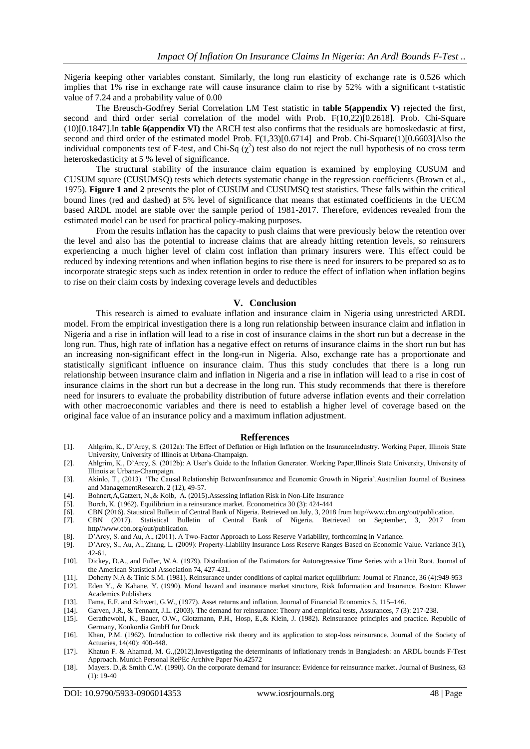Nigeria keeping other variables constant. Similarly, the long run elasticity of exchange rate is 0.526 which implies that 1% rise in exchange rate will cause insurance claim to rise by 52% with a significant t-statistic value of 7.24 and a probability value of 0.00

The Breusch-Godfrey Serial Correlation LM Test statistic in **table 5(appendix V)** rejected the first, second and third order serial correlation of the model with Prob. F(10,22)[0.2618]. Prob. Chi-Square (10)[0.1847].In **table 6(appendix VI)** the ARCH test also confirms that the residuals are homoskedastic at first, second and third order of the estimated model Prob. F(1,33)[0.6714] and Prob. Chi-Square(1)[0.6603]Also the individual components test of F-test, and Chi-Sq  $(\chi^2)$  test also do not reject the null hypothesis of no cross term heteroskedasticity at 5 % level of significance.

The structural stability of the insurance claim equation is examined by employing CUSUM and CUSUM square (CUSUMSQ) tests which detects systematic change in the regression coefficients (Brown et al., 1975). **Figure 1 and 2** presents the plot of CUSUM and CUSUMSQ test statistics. These falls within the critical bound lines (red and dashed) at 5% level of significance that means that estimated coefficients in the UECM based ARDL model are stable over the sample period of 1981-2017. Therefore, evidences revealed from the estimated model can be used for practical policy-making purposes.

From the results inflation has the capacity to push claims that were previously below the retention over the level and also has the potential to increase claims that are already hitting retention levels, so reinsurers experiencing a much higher level of claim cost inflation than primary insurers were. This effect could be reduced by indexing retentions and when inflation begins to rise there is need for insurers to be prepared so as to incorporate strategic steps such as index retention in order to reduce the effect of inflation when inflation begins to rise on their claim costs by indexing coverage levels and deductibles

#### **V. Conclusion**

This research is aimed to evaluate inflation and insurance claim in Nigeria using unrestricted ARDL model. From the empirical investigation there is a long run relationship between insurance claim and inflation in Nigeria and a rise in inflation will lead to a rise in cost of insurance claims in the short run but a decrease in the long run. Thus, high rate of inflation has a negative effect on returns of insurance claims in the short run but has an increasing non-significant effect in the long-run in Nigeria. Also, exchange rate has a proportionate and statistically significant influence on insurance claim. Thus this study concludes that there is a long run relationship between insurance claim and inflation in Nigeria and a rise in inflation will lead to a rise in cost of insurance claims in the short run but a decrease in the long run. This study recommends that there is therefore need for insurers to evaluate the probability distribution of future adverse inflation events and their correlation with other macroeconomic variables and there is need to establish a higher level of coverage based on the original face value of an insurance policy and a maximum inflation adjustment.

#### **Refferences**

- [1]. Ahlgrim, K., D"Arcy, S. (2012a): The Effect of Deflation or High Inflation on the InsuranceIndustry. Working Paper, Illinois State University, University of Illinois at Urbana-Champaign.
- [2]. Ahlgrim, K., D"Arcy, S. (2012b): A User"s Guide to the Inflation Generator. Working Paper,Illinois State University, University of Illinois at Urbana-Champaign.
- [3]. Akinlo, T., (2013). "The Causal Relationship BetweenInsurance and Economic Growth in Nigeria".Australian Journal of Business and ManagementResearch. 2 (12), 49-57.
- [4]. Bohnert,A,Gatzert, N.,& Kolb, A. (2015).Assessing Inflation Risk in Non-Life Insurance
- [5]. Borch, K. (1962). Equilibrium in a reinsurance market. Econometrica 30 (3): 424-444
- [6]. CBN (2016). Statistical Bulletin of Central Bank of Nigeria. Retrieved on July, 3, 2018 from http//www.cbn.org/out/publication.
- [7]. CBN (2017). Statistical Bulletin of Central Bank of Nigeria. Retrieved on September, 3, 2017 from http//www.cbn.org/out/publication.
- [8]. D"Arcy, S. and Au, A., (2011). A Two-Factor Approach to Loss Reserve Variability, forthcoming in Variance.
- [9]. D"Arcy, S., Au, A., Zhang, L. (2009): Property-Liability Insurance Loss Reserve Ranges Based on Economic Value. Variance 3(1), 42-61.
- [10]. Dickey, D.A., and Fuller, W.A. (1979). Distribution of the Estimators for Autoregressive Time Series with a Unit Root. Journal of the American Statistical Association 74, 427-431.
- [11]. Doherty N.A & Tinic S.M. (1981). Reinsurance under conditions of capital market equilibrium: Journal of Finance, 36 (4):949-953
- [12]. Eden Y., & Kahane, Y. (1990). Moral hazard and insurance market structure, Risk Information and Insurance. Boston: Kluwer Academics Publishers
- [13]. Fama, E.F. and Schwert, G.W., (1977). Asset returns and inflation. Journal of Financial Economics 5, 115–146.
- [14]. Garven, J.R., & Tennant, J.L. (2003). The demand for reinsurance: Theory and empirical tests, Assurances, 7 (3): 217-238.
- [15]. Gerathewohl, K., Bauer, O.W., Glotzmann, P.H., Hosp, E.,& Klein, J. (1982). Reinsurance principles and practice. Republic of Germany, Konkordia GmbH fur Druck
- [16]. Khan, P.M. (1962). Introduction to collective risk theory and its application to stop-loss reinsurance. Journal of the Society of Actuaries, 14(40): 400-448.
- [17]. Khatun F. & Ahamad, M. G.,(2012).Investigating the determinants of inflationary trends in Bangladesh: an ARDL bounds F-Test Approach. Munich Personal RePEc Archive Paper No.42572
- [18]. Mayers. D.,& Smith C.W. (1990). On the corporate demand for insurance: Evidence for reinsurance market. Journal of Business, 63 (1): 19-40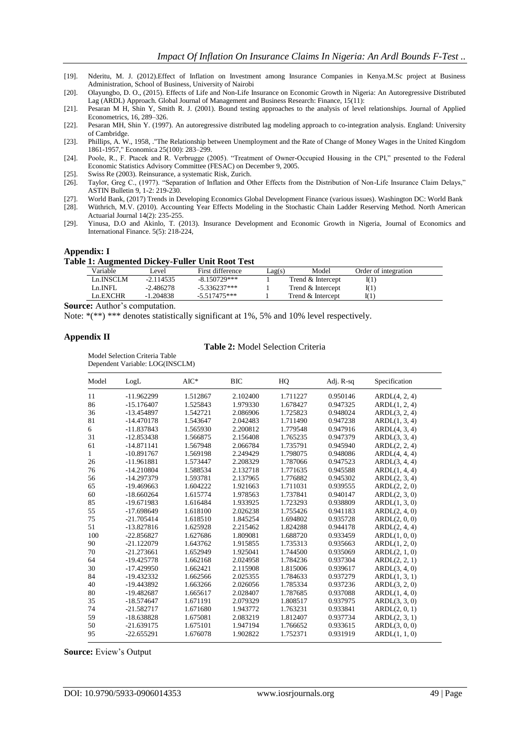- [19]. Nderitu, M. J. (2012).Effect of Inflation on Investment among Insurance Companies in Kenya.M.Sc project at Business Administration, School of Business, University of Nairobi
- [20]. Olayungbo, D. O., (2015). Effects of Life and Non-Life Insurance on Economic Growth in Nigeria: An Autoregressive Distributed Lag (ARDL) Approach. Global Journal of Management and Business Research: Finance, 15(11):
- [21]. Pesaran M H, Shin Y, Smith R. J. (2001). Bound testing approaches to the analysis of level relationships. Journal of Applied Econometrics, 16, 289–326.
- [22]. Pesaran MH, Shin Y. (1997). An autoregressive distributed lag modeling approach to co-integration analysis. England: University of Cambridge.
- [23]. Phillips, A. W., 1958, ."The Relationship between Unemployment and the Rate of Change of Money Wages in the United Kingdom 1861-1957," Economica 25(100): 283–299.
- [24]. Poole, R., F. Ptacek and R. Verbrugge (2005). "Treatment of Owner-Occupied Housing in the CPI," presented to the Federal Economic Statistics Advisory Committee (FESAC) on December 9, 2005.
- [25]. Swiss Re (2003). Reinsurance, a systematic Risk, Zurich.<br>[26]. Taylor, Greg C., (1977). "Separation of Inflation and O
- [26]. Taylor, Greg C., (1977). "Separation of Inflation and Other Effects from the Distribution of Non-Life Insurance Claim Delays," ASTIN Bulletin 9, 1-2: 219-230.

[27]. World Bank, (2017) Trends in Developing Economics Global Development Finance (various issues). Washington DC: World Bank<br>[28]. Wüthrich, M.V. (2010). Accounting Year Effects Modeling in the Stochastic Chain Ladder Re

- Wüthrich, M.V. (2010). Accounting Year Effects Modeling in the Stochastic Chain Ladder Reserving Method. North American Actuarial Journal 14(2): 235-255.
- [29]. Yinusa, D.O and Akinlo, T. (2013). Insurance Development and Economic Growth in Nigeria, Journal of Economics and International Finance. 5(5): 218-224,

#### **Appendix: I**

#### **Table 1: Augmented Dickey-Fuller Unit Root Test**

| Variable  | Level       | First difference | Lag(s) | Model             | Order of integration |  |
|-----------|-------------|------------------|--------|-------------------|----------------------|--|
| Ln.INSCLM | $-2.114535$ | $-8.150729***$   |        | Trend & Intercept | I(1)                 |  |
| Ln INFI.  | $-2.486278$ | $-5.336237***$   |        | Trend & Intercept | I(1)                 |  |
| Ln EXCHR  | $-1.204838$ | $-5.517475***$   |        | Trend & Intercept | I(1)                 |  |
|           |             |                  |        |                   |                      |  |

**Source:** Author's computation.

Note: \*(\*\*) \*\*\* denotes statistically significant at 1%, 5% and 10% level respectively.

#### **Appendix II**

#### **Table 2:** Model Selection Criteria

Model Selection Criteria Table Dependent Variable: LOG(INSCLM)

| Model        | LogL         | $AIC^*$  | <b>BIC</b> | HQ       | Adj. R-sq | Specification |
|--------------|--------------|----------|------------|----------|-----------|---------------|
| 11           | $-11.962299$ | 1.512867 | 2.102400   | 1.711227 | 0.950146  | ARDL(4, 2, 4) |
| 86           | $-15.176407$ | 1.525843 | 1.979330   | 1.678427 | 0.947325  | ARDL(1, 2, 4) |
| 36           | -13.454897   | 1.542721 | 2.086906   | 1.725823 | 0.948024  | ARDL(3, 2, 4) |
| 81           | $-14.470178$ | 1.543647 | 2.042483   | 1.711490 | 0.947238  | ARDL(1, 3, 4) |
| 6            | -11.837843   | 1.565930 | 2.200812   | 1.779548 | 0.947916  | ARDL(4, 3, 4) |
| 31           | $-12.853438$ | 1.566875 | 2.156408   | 1.765235 | 0.947379  | ARDL(3, 3, 4) |
| 61           | $-14.871141$ | 1.567948 | 2.066784   | 1.735791 | 0.945940  | ARDL(2, 2, 4) |
| $\mathbf{1}$ | $-10.891767$ | 1.569198 | 2.249429   | 1.798075 | 0.948086  | ARDL(4, 4, 4) |
| 26           | $-11.961881$ | 1.573447 | 2.208329   | 1.787066 | 0.947523  | ARDL(3, 4, 4) |
| 76           | $-14.210804$ | 1.588534 | 2.132718   | 1.771635 | 0.945588  | ARDL(1, 4, 4) |
| 56           | $-14.297379$ | 1.593781 | 2.137965   | 1.776882 | 0.945302  | ARDL(2, 3, 4) |
| 65           | $-19.469663$ | 1.604222 | 1.921663   | 1.711031 | 0.939555  | ARDL(2, 2, 0) |
| 60           | $-18.660264$ | 1.615774 | 1.978563   | 1.737841 | 0.940147  | ARDL(2, 3, 0) |
| 85           | -19.671983   | 1.616484 | 1.933925   | 1.723293 | 0.938809  | ARDL(1, 3, 0) |
| 55           | $-17.698649$ | 1.618100 | 2.026238   | 1.755426 | 0.941183  | ARDL(2, 4, 0) |
| 75           | $-21.705414$ | 1.618510 | 1.845254   | 1.694802 | 0.935728  | ARDL(2, 0, 0) |
| 51           | $-13.827816$ | 1.625928 | 2.215462   | 1.824288 | 0.944178  | ARDL(2, 4, 4) |
| 100          | $-22.856827$ | 1.627686 | 1.809081   | 1.688720 | 0.933459  | ARDL(1, 0, 0) |
| 90           | $-21.122079$ | 1.643762 | 1.915855   | 1.735313 | 0.935663  | ARDL(1, 2, 0) |
| 70           | $-21.273661$ | 1.652949 | 1.925041   | 1.744500 | 0.935069  | ARDL(2, 1, 0) |
| 64           | $-19.425778$ | 1.662168 | 2.024958   | 1.784236 | 0.937304  | ARDL(2, 2, 1) |
| 30           | $-17.429950$ | 1.662421 | 2.115908   | 1.815006 | 0.939617  | ARDL(3, 4, 0) |
| 84           | $-19.432332$ | 1.662566 | 2.025355   | 1.784633 | 0.937279  | ARDL(1, 3, 1) |
| 40           | -19.443892   | 1.663266 | 2.026056   | 1.785334 | 0.937236  | ARDL(3, 2, 0) |
| 80           | -19.482687   | 1.665617 | 2.028407   | 1.787685 | 0.937088  | ARDL(1, 4, 0) |
| 35           | $-18.574647$ | 1.671191 | 2.079329   | 1.808517 | 0.937975  | ARDL(3, 3, 0) |
| 74           | $-21.582717$ | 1.671680 | 1.943772   | 1.763231 | 0.933841  | ARDL(2, 0, 1) |
| 59           | $-18.638828$ | 1.675081 | 2.083219   | 1.812407 | 0.937734  | ARDL(2, 3, 1) |
| 50           | $-21.639175$ | 1.675101 | 1.947194   | 1.766652 | 0.933615  | ARDL(3, 0, 0) |
| 95           | $-22.655291$ | 1.676078 | 1.902822   | 1.752371 | 0.931919  | ARDL(1, 1, 0) |

**Source:** Eview's Output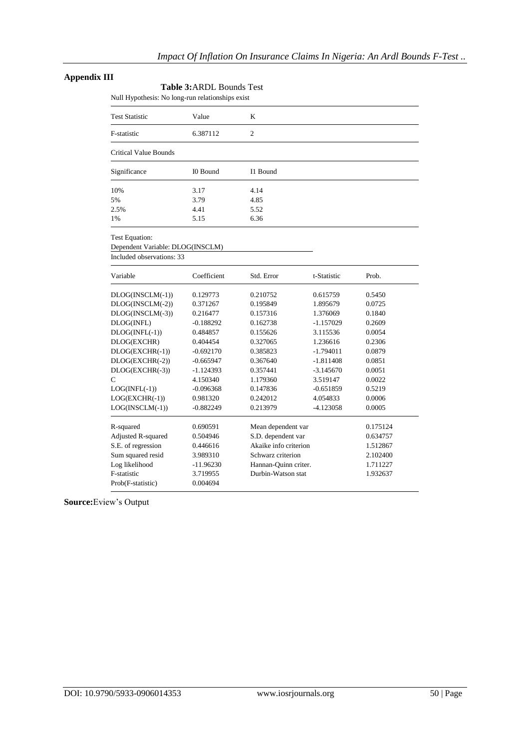### **Appendix III**

|                                                  | <b>Table 3:ARDL Bounds Test</b> |                       |             |          |
|--------------------------------------------------|---------------------------------|-----------------------|-------------|----------|
| Null Hypothesis: No long-run relationships exist |                                 |                       |             |          |
| <b>Test Statistic</b>                            | Value                           | K                     |             |          |
| F-statistic                                      | 6.387112                        | $\overline{2}$        |             |          |
| Critical Value Bounds                            |                                 |                       |             |          |
| Significance                                     | I0 Bound                        | I1 Bound              |             |          |
| 10%                                              | 3.17                            | 4.14                  |             |          |
| 5%                                               | 3.79                            | 4.85                  |             |          |
| 2.5%                                             | 4.41                            | 5.52                  |             |          |
| 1%                                               | 5.15                            | 6.36                  |             |          |
| <b>Test Equation:</b>                            |                                 |                       |             |          |
| Dependent Variable: DLOG(INSCLM)                 |                                 |                       |             |          |
| Included observations: 33                        |                                 |                       |             |          |
| Variable                                         | Coefficient                     | Std. Error            | t-Statistic | Prob.    |
| DLOG(INSCLM(-1))                                 | 0.129773                        | 0.210752              | 0.615759    | 0.5450   |
| DLOG(INSCLM(-2))                                 | 0.371267                        | 0.195849              | 1.895679    | 0.0725   |
| DLOG(INSCLM(-3))                                 | 0.216477                        | 0.157316              | 1.376069    | 0.1840   |
| DLOG(INFL)                                       | $-0.188292$                     | 0.162738              | $-1.157029$ | 0.2609   |
| DLOG(INFL(-1))                                   | 0.484857                        | 0.155626              | 3.115536    | 0.0054   |
| DLOG(EXCHR)                                      | 0.404454                        | 0.327065              | 1.236616    | 0.2306   |
| DLOG(EXCHR(-1))                                  | $-0.692170$                     | 0.385823              | $-1.794011$ | 0.0879   |
| DLOG(EXCHR(-2))                                  | $-0.665947$                     | 0.367640              | $-1.811408$ | 0.0851   |
| DLOG(EXCHR(-3))                                  | $-1.124393$                     | 0.357441              | $-3.145670$ | 0.0051   |
| С                                                | 4.150340                        | 1.179360              | 3.519147    | 0.0022   |
| $LOG(NFL(-1))$                                   | $-0.096368$                     | 0.147836              | $-0.651859$ | 0.5219   |
| LOG(EXCHR(-1))                                   | 0.981320                        | 0.242012              | 4.054833    | 0.0006   |
| LOG(INSCLM(-1))                                  | $-0.882249$                     | 0.213979              | -4.123058   | 0.0005   |
| R-squared                                        | 0.690591                        | Mean dependent var    |             | 0.175124 |
| Adjusted R-squared                               | 0.504946                        | S.D. dependent var    |             | 0.634757 |
| S.E. of regression                               | 0.446616                        | Akaike info criterion |             | 1.512867 |
| Sum squared resid                                | 3.989310                        | Schwarz criterion     |             | 2.102400 |
| Log likelihood                                   | $-11.96230$                     | Hannan-Quinn criter.  |             | 1.711227 |
| F-statistic                                      | 3.719955                        | Durbin-Watson stat    |             | 1.932637 |
| Prob(F-statistic)                                | 0.004694                        |                       |             |          |
|                                                  |                                 |                       |             |          |

**Source:**Eview's Output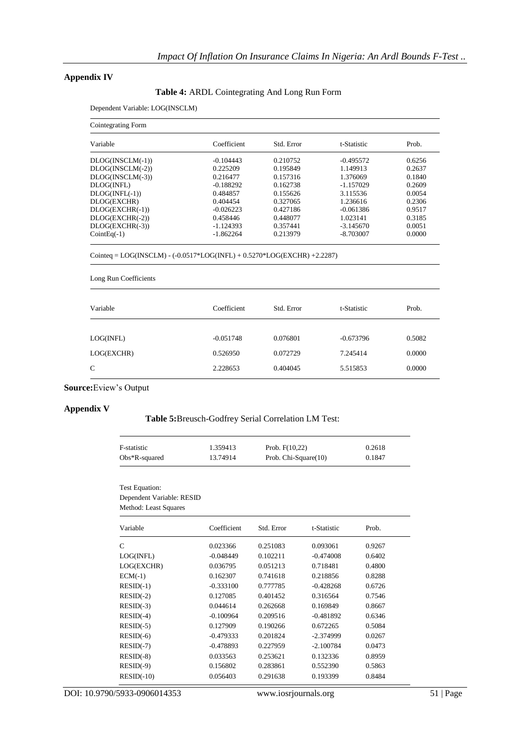### **Appendix IV**

### **Table 4:** ARDL Cointegrating And Long Run Form

Dependent Variable: LOG(INSCLM)

| Variable           | Coefficient | Std. Error | t-Statistic | Prob.  |
|--------------------|-------------|------------|-------------|--------|
| $DLOG(INSCLM(-1))$ | $-0.104443$ | 0.210752   | $-0.495572$ | 0.6256 |
| $DLOG(INSCLM(-2))$ | 0.225209    | 0.195849   | 1.149913    | 0.2637 |
| DLOG(INSCLM(-3))   | 0.216477    | 0.157316   | 1.376069    | 0.1840 |
| DLOG(INFL)         | $-0.188292$ | 0.162738   | $-1.157029$ | 0.2609 |
| DLOG(INFL(-1))     | 0.484857    | 0.155626   | 3.115536    | 0.0054 |
| DLOG(EXCHR)        | 0.404454    | 0.327065   | 1.236616    | 0.2306 |
| DLOG(EXCHR(-1))    | $-0.026223$ | 0.427186   | $-0.061386$ | 0.9517 |
| $DLOG(EXCHR(-2))$  | 0.458446    | 0.448077   | 1.023141    | 0.3185 |
| $DLOG(EXCHR(-3))$  | $-1.124393$ | 0.357441   | $-3.145670$ | 0.0051 |
| $CointEq(-1)$      | $-1.862264$ | 0.213979   | $-8.703007$ | 0.0000 |

 $\text{Cointeq} = \text{LOG}(\text{INSCLM}) \text{ - } (\text{-}0.0517 \text{*} \text{LOG}(\text{INFL}) \text{ + } 0.5270 \text{*} \text{LOG}(\text{EXCHR}) \text{ +} 2.2287)$ 

#### Long Run Coefficients

| Variable   | Coefficient | Std. Error | t-Statistic | Prob.  |
|------------|-------------|------------|-------------|--------|
| LOG(INFL)  | $-0.051748$ | 0.076801   | $-0.673796$ | 0.5082 |
| LOG(EXCHR) | 0.526950    | 0.072729   | 7.245414    | 0.0000 |
| C          | 2.228653    | 0.404045   | 5.515853    | 0.0000 |

### **Source:**Eview"s Output

### **Appendix V**

### **Table 5:**Breusch-Godfrey Serial Correlation LM Test:

| F-statistic      | 1.359413 | Prob. $F(10,22)$     | 0.2618 |
|------------------|----------|----------------------|--------|
| $Obs*R$ -squared | 13.74914 | Prob. Chi-Square(10) | 0.1847 |

#### Test Equation: Dependent Variable: RESID Method: Least Squares

| Variable      | Coefficient | Std. Error | t-Statistic | Prob.  |
|---------------|-------------|------------|-------------|--------|
| $\mathcal{C}$ | 0.023366    | 0.251083   | 0.093061    | 0.9267 |
| LOG(INFL)     | $-0.048449$ | 0.102211   | $-0.474008$ | 0.6402 |
| LOG(EXCHR)    | 0.036795    | 0.051213   | 0.718481    | 0.4800 |
| $ECM(-1)$     | 0.162307    | 0.741618   | 0.218856    | 0.8288 |
| $RESID(-1)$   | $-0.333100$ | 0.777785   | $-0.428268$ | 0.6726 |
| $RESID(-2)$   | 0.127085    | 0.401452   | 0.316564    | 0.7546 |
| $RESID(-3)$   | 0.044614    | 0.262668   | 0.169849    | 0.8667 |
| $RESID(-4)$   | $-0.100964$ | 0.209516   | $-0.481892$ | 0.6346 |
| $RESID(-5)$   | 0.127909    | 0.190266   | 0.672265    | 0.5084 |
| $RESID(-6)$   | $-0.479333$ | 0.201824   | $-2.374999$ | 0.0267 |
| $RESID(-7)$   | $-0.478893$ | 0.227959   | $-2.100784$ | 0.0473 |
| $RESID(-8)$   | 0.033563    | 0.253621   | 0.132336    | 0.8959 |
| $RESID(-9)$   | 0.156802    | 0.283861   | 0.552390    | 0.5863 |
| $RESID(-10)$  | 0.056403    | 0.291638   | 0.193399    | 0.8484 |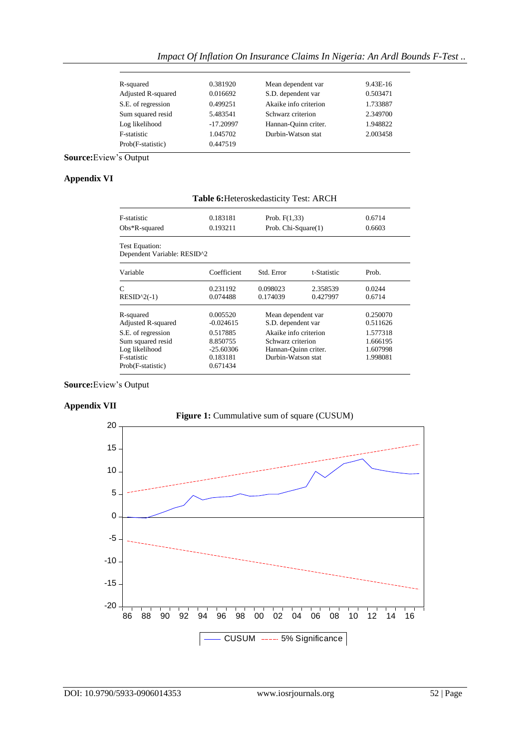| R-squared          | 0.381920    | Mean dependent var    | 9.43E-16 |
|--------------------|-------------|-----------------------|----------|
| Adjusted R-squared | 0.016692    | S.D. dependent var    | 0.503471 |
| S.E. of regression | 0.499251    | Akaike info criterion | 1.733887 |
| Sum squared resid  | 5.483541    | Schwarz criterion     | 2.349700 |
| Log likelihood     | $-17.20997$ | Hannan-Quinn criter.  | 1.948822 |
| <b>F-statistic</b> | 1.045702    | Durbin-Watson stat    | 2.003458 |
| Prob(F-statistic)  | 0.447519    |                       |          |
|                    |             |                       |          |

Source: Eview's Output

### **Appendix VI**

| <b>Table 6: Heteroskedasticity Test: ARCH</b>                            |                                                 |                                                                                          |                      |                                              |  |  |  |  |
|--------------------------------------------------------------------------|-------------------------------------------------|------------------------------------------------------------------------------------------|----------------------|----------------------------------------------|--|--|--|--|
| F-statistic                                                              | 0.183181<br>Prob. $F(1,33)$                     |                                                                                          |                      | 0.6714                                       |  |  |  |  |
| $Obs*R$ -squared                                                         | 0.193211                                        |                                                                                          | Prob. Chi-Square(1)  |                                              |  |  |  |  |
| <b>Test Equation:</b><br>Dependent Variable: RESID^2                     |                                                 |                                                                                          |                      |                                              |  |  |  |  |
| Variable                                                                 | Coefficient                                     | Std. Error                                                                               | t-Statistic          | Prob.                                        |  |  |  |  |
| C<br>$RESID^2(-1)$                                                       | 0.231192<br>0.074488                            | 0.098023<br>0.174039                                                                     | 2.358539<br>0.427997 | 0.0244<br>0.6714                             |  |  |  |  |
| R-squared<br>Adjusted R-squared                                          | 0.005520<br>$-0.024615$                         | Mean dependent var<br>S.D. dependent var                                                 |                      | 0.250070<br>0.511626                         |  |  |  |  |
| S.E. of regression<br>Sum squared resid<br>Log likelihood<br>F-statistic | 0.517885<br>8.850755<br>$-25.60306$<br>0.183181 | Akaike info criterion<br>Schwarz criterion<br>Hannan-Quinn criter.<br>Durbin-Watson stat |                      | 1.577318<br>1.666195<br>1.607998<br>1.998081 |  |  |  |  |
| Prob(F-statistic)                                                        | 0.671434                                        |                                                                                          |                      |                                              |  |  |  |  |

### **Source:**Eview"s Output

### **Appendix VII**

# Figure 1: Cummulative sum of square (CUSUM) -20 -15 -10 -5 0 5 10 15 20 86 88 90 92 94 96 98 00 02 04 06 08 10 12 14 16 CUSUM ----- 5% Significance